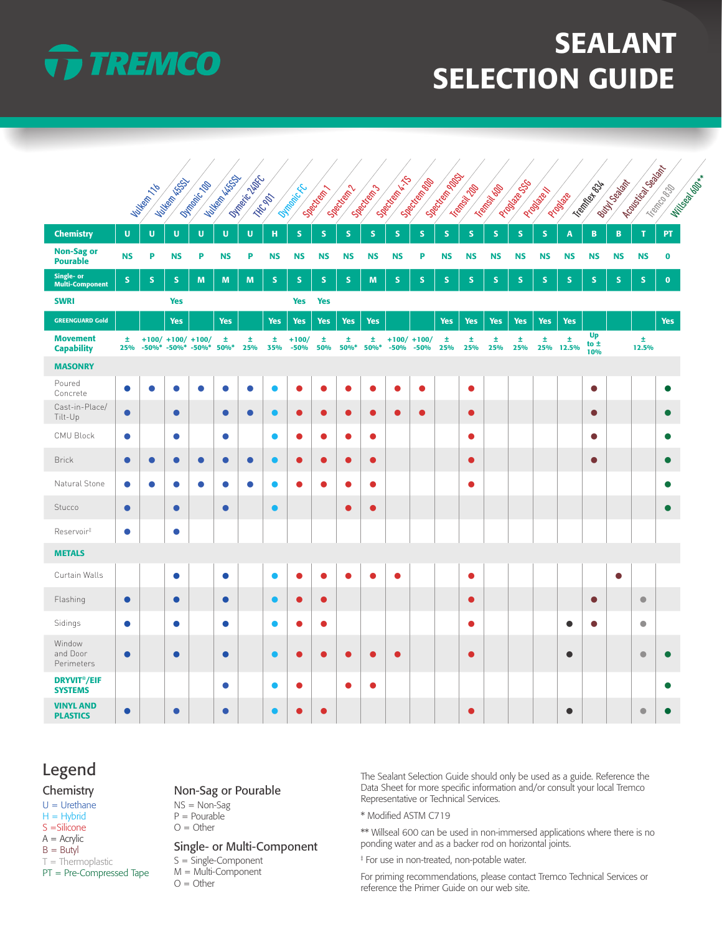

# SEALANT SELECTION GUIDE

|                                                 |             |            |                                                      |             |                |                                                                                                                                 |                |                     |               |            |              | Joach Marian            |                 | · Secritor Report |               |              |              |             |                |                       |             | I Conciliation and all |                      |
|-------------------------------------------------|-------------|------------|------------------------------------------------------|-------------|----------------|---------------------------------------------------------------------------------------------------------------------------------|----------------|---------------------|---------------|------------|--------------|-------------------------|-----------------|-------------------|---------------|--------------|--------------|-------------|----------------|-----------------------|-------------|------------------------|----------------------|
|                                                 |             | Milkemy 16 | Nutlee River                                         | Offrancisco | William Missou | <b>Difference Little</b>                                                                                                        | <b>THE ORY</b> | <b>Olimpicic Cc</b> | Spectricity 1 | Section    | Secritory 13 |                         | Secritorial Bay |                   | Tremont India | Trempion Map | Programs CSS | Priotive M  | Probate        | Tramberto Str         | Button Bay  | Trempto Bay            | Milligge Manufacture |
| <b>Chemistry</b>                                | $\mathbf U$ | U          | U                                                    | $\mathbf U$ | $\mathbf U$    | $\mathbf{U}% =\mathbf{U}^{T}\mathbf{U}^{T}\mathbf{U}^{T}\mathbf{U}^{T}\mathbf{U}^{T}\mathbf{U}^{T}\mathbf{U}^{T}\mathbf{U}^{T}$ | $\mathbf H$    | S.                  | ${\sf S}$     | S.         | $\mathbf S$  | S.                      | ${\sf S}$       | $\mathsf{s}$      | S.            | S            | S            | $\mathbf S$ | $\overline{A}$ | $\, {\bf B}$          | $\mathbf B$ | т                      | PT.                  |
| <b>Non-Sag or</b><br><b>Pourable</b>            | <b>NS</b>   | P          | <b>NS</b>                                            | P           | <b>NS</b>      | P                                                                                                                               | <b>NS</b>      | <b>NS</b>           | <b>NS</b>     | <b>NS</b>  | <b>NS</b>    | <b>NS</b>               | P               | <b>NS</b>         | <b>NS</b>     | <b>NS</b>    | <b>NS</b>    | <b>NS</b>   | <b>NS</b>      | <b>NS</b>             | <b>NS</b>   | <b>NS</b>              | $\bf{0}$             |
| Single- or<br><b>Multi-Component</b>            | ${\sf S}$   | ${\sf s}$  | ${\sf S}$                                            | M           | M              | M                                                                                                                               | S              | ${\sf S}$           | S             | ${\sf S}$  | M            | ${\sf S}$               | ${\sf S}$       | S                 | S             | S            | ${\sf S}$    | ${\sf S}$   | ${\sf S}$      | ${\sf S}$             | S           | ${\sf S}$              | $\pmb{0}$            |
| <b>SWRI</b>                                     |             |            | <b>Yes</b>                                           |             |                |                                                                                                                                 |                | <b>Yes</b>          | <b>Yes</b>    |            |              |                         |                 |                   |               |              |              |             |                |                       |             |                        |                      |
| <b>GREENGUARD Gold</b>                          |             |            | <b>Yes</b>                                           |             | <b>Yes</b>     |                                                                                                                                 | <b>Yes</b>     | <b>Yes</b>          | <b>Yes</b>    | <b>Yes</b> | <b>Yes</b>   |                         |                 | <b>Yes</b>        | <b>Yes</b>    | <b>Yes</b>   | <b>Yes</b>   | <b>Yes</b>  | <b>Yes</b>     |                       |             |                        | <b>Yes</b>           |
| <b>Movement</b><br><b>Capability</b>            | Ŧ<br>25%    |            | $+100/ +100/ +100/$<br>$-50\%$ * $-50\%$ * $-50\%$ * |             | 士<br>50%*      | Ŧ<br>25%                                                                                                                        | Ŧ<br>35%       | $+100/$<br>$-50%$   | 士<br>50%      | ±.<br>50%* | Ŧ<br>50%*    | $+100/ +100/$<br>$-50%$ | $-50%$          | 士<br>25%          | Ŧ<br>25%      | Ŧ.<br>25%    | Ŧ.<br>25%    | 士<br>25%    | ±.<br>12.5%    | Up<br>to $\pm$<br>10% |             | Ŧ<br>12.5%             |                      |
| <b>MASONRY</b>                                  |             |            |                                                      |             |                |                                                                                                                                 |                |                     |               |            |              |                         |                 |                   |               |              |              |             |                |                       |             |                        |                      |
| Poured<br>Concrete                              | $\bullet$   | $\bullet$  | $\bullet$                                            | $\bullet$   | $\bullet$      | $\bullet$                                                                                                                       | $\bullet$      | $\bullet$           | $\bullet$     | $\bullet$  | $\bullet$    | Δ                       | $\bullet$       |                   | $\bullet$     |              |              |             |                | $\bullet$             |             |                        | e                    |
| Cast-in-Place/<br>Tilt-Up                       | $\bullet$   |            | $\bullet$                                            |             | $\bullet$      | $\bullet$                                                                                                                       | $\bullet$      | $\bullet$           | $\bullet$     | $\bullet$  | $\bullet$    | $\bullet$               | $\bullet$       |                   | $\bullet$     |              |              |             |                | $\bullet$             |             |                        |                      |
| <b>CMU Block</b>                                | $\bullet$   |            | ●                                                    |             | $\bullet$      |                                                                                                                                 | $\bullet$      | Ο                   | 0             | $\bullet$  | $\bullet$    |                         |                 |                   | $\bullet$     |              |              |             |                | $\bullet$             |             |                        |                      |
| <b>Brick</b>                                    | $\bullet$   | $\bullet$  | $\bullet$                                            | $\bullet$   | $\bullet$      | $\bullet$                                                                                                                       | $\bullet$      | $\bullet$           | $\bullet$     | $\bullet$  | $\bullet$    |                         |                 |                   | $\bullet$     |              |              |             |                | $\bullet$             |             |                        | $\bullet$            |
| Natural Stone                                   | $\bullet$   | $\bullet$  | $\bullet$                                            | $\bullet$   | $\bullet$      | $\bullet$                                                                                                                       | $\bullet$      | ●                   | $\bullet$     | $\bullet$  | $\bullet$    |                         |                 |                   | $\bullet$     |              |              |             |                |                       |             |                        | O                    |
| Stucco                                          | $\bullet$   |            | $\bullet$                                            |             | $\bullet$      |                                                                                                                                 | $\bullet$      |                     |               | $\bullet$  | $\bullet$    |                         |                 |                   |               |              |              |             |                |                       |             |                        | $\bullet$            |
| Reservoir <sup>#</sup>                          | $\bullet$   |            | $\bullet$                                            |             |                |                                                                                                                                 |                |                     |               |            |              |                         |                 |                   |               |              |              |             |                |                       |             |                        |                      |
| <b>METALS</b>                                   |             |            |                                                      |             |                |                                                                                                                                 |                |                     |               |            |              |                         |                 |                   |               |              |              |             |                |                       |             |                        |                      |
| Curtain Walls                                   |             |            | $\bullet$                                            |             | $\bullet$      |                                                                                                                                 | $\bullet$      | $\bullet$           | $\bullet$     | $\bullet$  | $\bullet$    | $\bullet$               |                 |                   | $\bullet$     |              |              |             |                |                       | $\bullet$   |                        |                      |
| Flashing                                        | $\bullet$   |            | $\bullet$                                            |             | $\bullet$      |                                                                                                                                 | $\bullet$      | $\bullet$           | $\bullet$     |            |              |                         |                 |                   | $\bullet$     |              |              |             |                | $\bullet$             |             | $\bullet$              |                      |
| Sidings                                         | $\bullet$   |            | ●                                                    |             | $\bullet$      |                                                                                                                                 | ●              | 0                   | 0             |            |              |                         |                 |                   |               |              |              |             | $\bullet$      | $\bullet$             |             | $\bullet$              |                      |
| Window<br>and Door<br>Perimeters                | $\bullet$   |            | $\bullet$                                            |             | $\bullet$      |                                                                                                                                 | ⊂              | 0                   | O             | $\bullet$  | c            |                         |                 |                   | c             |              |              |             | $\bullet$      |                       |             | $\bullet$              |                      |
| <b>DRYVIT<sup>®</sup>/EIF</b><br><b>SYSTEMS</b> |             |            |                                                      |             | $\bullet$      |                                                                                                                                 | $\bullet$      | ●                   |               | $\bullet$  | ●            |                         |                 |                   |               |              |              |             |                |                       |             |                        |                      |
| <b>VINYL AND</b><br><b>PLASTICS</b>             | $\bullet$   |            | $\bullet$                                            |             | $\bullet$      |                                                                                                                                 | ◠              | c                   | $\bullet$     |            |              |                         |                 |                   | $\bullet$     |              |              |             | $\bullet$      |                       |             | $\bullet$              |                      |

## Legend

#### **Chemistry**

- $U = U$ rethane
- $H = H$ ybrid S =Silicone
- $A =$  Acrylic
- 
- $B =$  Butyl

 $T =$ Thermoplastic

PT = Pre-Compressed Tape

### Non-Sag or Pourable

 $NS = Non-Sag$ 

 $P =$  Pourable

 $O =$  Other

#### Single- or Multi-Component

S = Single-Component

M = Multi-Component  $O =$  Other

The Sealant Selection Guide should only be used as a guide. Reference the Data Sheet for more specific information and/or consult your local Tremco Representative or Technical Services.

\* Modified ASTM C719

\*\* Willseal 600 can be used in non-immersed applications where there is no ponding water and as a backer rod on horizontal joints.

‡ For use in non-treated, non-potable water.

For priming recommendations, please contact Tremco Technical Services or reference the Primer Guide on our web site.